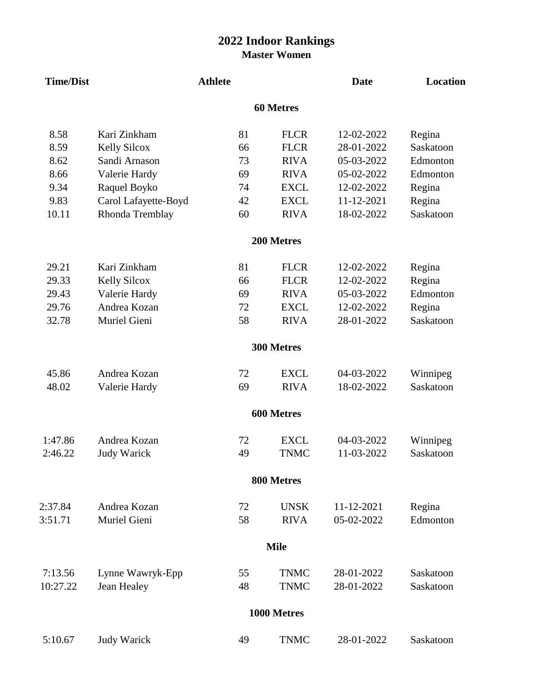## **2022 Indoor Rankings Master Women**

| <b>Time/Dist</b> |                      | <b>Athlete</b> |             | <b>Date</b> | <b>Location</b> |  |  |  |  |  |  |
|------------------|----------------------|----------------|-------------|-------------|-----------------|--|--|--|--|--|--|
| <b>60 Metres</b> |                      |                |             |             |                 |  |  |  |  |  |  |
| 8.58             | Kari Zinkham         | 81             | <b>FLCR</b> | 12-02-2022  | Regina          |  |  |  |  |  |  |
| 8.59             | <b>Kelly Silcox</b>  | 66             | <b>FLCR</b> | 28-01-2022  | Saskatoon       |  |  |  |  |  |  |
| 8.62             | Sandi Arnason        | 73             | <b>RIVA</b> | 05-03-2022  | Edmonton        |  |  |  |  |  |  |
| 8.66             | Valerie Hardy        | 69             | <b>RIVA</b> | 05-02-2022  | Edmonton        |  |  |  |  |  |  |
| 9.34             | Raquel Boyko         | 74             | <b>EXCL</b> | 12-02-2022  | Regina          |  |  |  |  |  |  |
| 9.83             | Carol Lafayette-Boyd | 42             | <b>EXCL</b> | 11-12-2021  | Regina          |  |  |  |  |  |  |
| 10.11            | Rhonda Tremblay      | 60             | <b>RIVA</b> | 18-02-2022  | Saskatoon       |  |  |  |  |  |  |
|                  |                      |                | 200 Metres  |             |                 |  |  |  |  |  |  |
| 29.21            | Kari Zinkham         | 81             | <b>FLCR</b> | 12-02-2022  | Regina          |  |  |  |  |  |  |
| 29.33            | <b>Kelly Silcox</b>  | 66             | <b>FLCR</b> | 12-02-2022  | Regina          |  |  |  |  |  |  |
| 29.43            | Valerie Hardy        | 69             | <b>RIVA</b> | 05-03-2022  | Edmonton        |  |  |  |  |  |  |
| 29.76            | Andrea Kozan         | 72             | <b>EXCL</b> | 12-02-2022  | Regina          |  |  |  |  |  |  |
| 32.78            | Muriel Gieni         | 58             | <b>RIVA</b> | 28-01-2022  | Saskatoon       |  |  |  |  |  |  |
|                  |                      |                | 300 Metres  |             |                 |  |  |  |  |  |  |
| 45.86            | Andrea Kozan         | 72             | <b>EXCL</b> | 04-03-2022  | Winnipeg        |  |  |  |  |  |  |
| 48.02            | Valerie Hardy        | 69             | <b>RIVA</b> | 18-02-2022  | Saskatoon       |  |  |  |  |  |  |
|                  |                      |                | 600 Metres  |             |                 |  |  |  |  |  |  |
| 1:47.86          | Andrea Kozan         | 72             | <b>EXCL</b> | 04-03-2022  | Winnipeg        |  |  |  |  |  |  |
| 2:46.22          | <b>Judy Warick</b>   | 49             | <b>TNMC</b> | 11-03-2022  | Saskatoon       |  |  |  |  |  |  |
|                  |                      |                | 800 Metres  |             |                 |  |  |  |  |  |  |
| 2:37.84          | Andrea Kozan         | 72             | <b>UNSK</b> | 11-12-2021  | Regina          |  |  |  |  |  |  |
| 3:51.71          | Muriel Gieni         | 58             | <b>RIVA</b> | 05-02-2022  | Edmonton        |  |  |  |  |  |  |
|                  |                      |                | <b>Mile</b> |             |                 |  |  |  |  |  |  |
| 7:13.56          | Lynne Wawryk-Epp     | 55             | <b>TNMC</b> | 28-01-2022  | Saskatoon       |  |  |  |  |  |  |
| 10:27.22         | Jean Healey          | 48             | <b>TNMC</b> | 28-01-2022  | Saskatoon       |  |  |  |  |  |  |
|                  |                      |                | 1000 Metres |             |                 |  |  |  |  |  |  |
| 5:10.67          | <b>Judy Warick</b>   | 49             | <b>TNMC</b> | 28-01-2022  | Saskatoon       |  |  |  |  |  |  |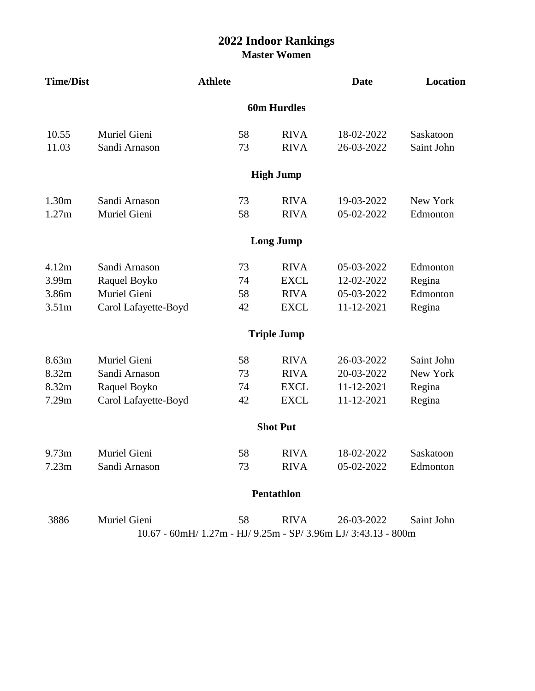## **2022 Indoor Rankings Master Women**

| <b>Time/Dist</b>   |                                                                | <b>Athlete</b> |                    | <b>Date</b> | Location   |  |  |  |  |  |
|--------------------|----------------------------------------------------------------|----------------|--------------------|-------------|------------|--|--|--|--|--|
| <b>60m Hurdles</b> |                                                                |                |                    |             |            |  |  |  |  |  |
| 10.55              | Muriel Gieni                                                   | 58             | <b>RIVA</b>        | 18-02-2022  | Saskatoon  |  |  |  |  |  |
| 11.03              | Sandi Arnason                                                  | 73             | <b>RIVA</b>        | 26-03-2022  | Saint John |  |  |  |  |  |
|                    |                                                                |                | <b>High Jump</b>   |             |            |  |  |  |  |  |
| 1.30 <sub>m</sub>  | Sandi Arnason                                                  | 73             | <b>RIVA</b>        | 19-03-2022  | New York   |  |  |  |  |  |
| 1.27m              | Muriel Gieni                                                   | 58             | <b>RIVA</b>        | 05-02-2022  | Edmonton   |  |  |  |  |  |
|                    |                                                                |                | <b>Long Jump</b>   |             |            |  |  |  |  |  |
| 4.12m              | Sandi Arnason                                                  | 73             | <b>RIVA</b>        | 05-03-2022  | Edmonton   |  |  |  |  |  |
| 3.99m              | Raquel Boyko                                                   | 74             | <b>EXCL</b>        | 12-02-2022  | Regina     |  |  |  |  |  |
| 3.86m              | Muriel Gieni                                                   | 58             | <b>RIVA</b>        | 05-03-2022  | Edmonton   |  |  |  |  |  |
| 3.51 <sub>m</sub>  | Carol Lafayette-Boyd                                           | 42             | <b>EXCL</b>        | 11-12-2021  | Regina     |  |  |  |  |  |
|                    |                                                                |                | <b>Triple Jump</b> |             |            |  |  |  |  |  |
| 8.63m              | Muriel Gieni                                                   | 58             | <b>RIVA</b>        | 26-03-2022  | Saint John |  |  |  |  |  |
| 8.32m              | Sandi Arnason                                                  | 73             | <b>RIVA</b>        | 20-03-2022  | New York   |  |  |  |  |  |
| 8.32m              | Raquel Boyko                                                   | 74             | <b>EXCL</b>        | 11-12-2021  | Regina     |  |  |  |  |  |
| 7.29m              | Carol Lafayette-Boyd                                           | 42             | <b>EXCL</b>        | 11-12-2021  | Regina     |  |  |  |  |  |
|                    |                                                                |                | <b>Shot Put</b>    |             |            |  |  |  |  |  |
| 9.73m              | Muriel Gieni                                                   | 58             | <b>RIVA</b>        | 18-02-2022  | Saskatoon  |  |  |  |  |  |
| 7.23m              | Sandi Arnason                                                  | 73             | <b>RIVA</b>        | 05-02-2022  | Edmonton   |  |  |  |  |  |
|                    |                                                                |                | Pentathlon         |             |            |  |  |  |  |  |
| 3886               | Muriel Gieni                                                   | 58             | <b>RIVA</b>        | 26-03-2022  | Saint John |  |  |  |  |  |
|                    | 10.67 - 60mH/ 1.27m - HJ/ 9.25m - SP/ 3.96m LJ/ 3:43.13 - 800m |                |                    |             |            |  |  |  |  |  |